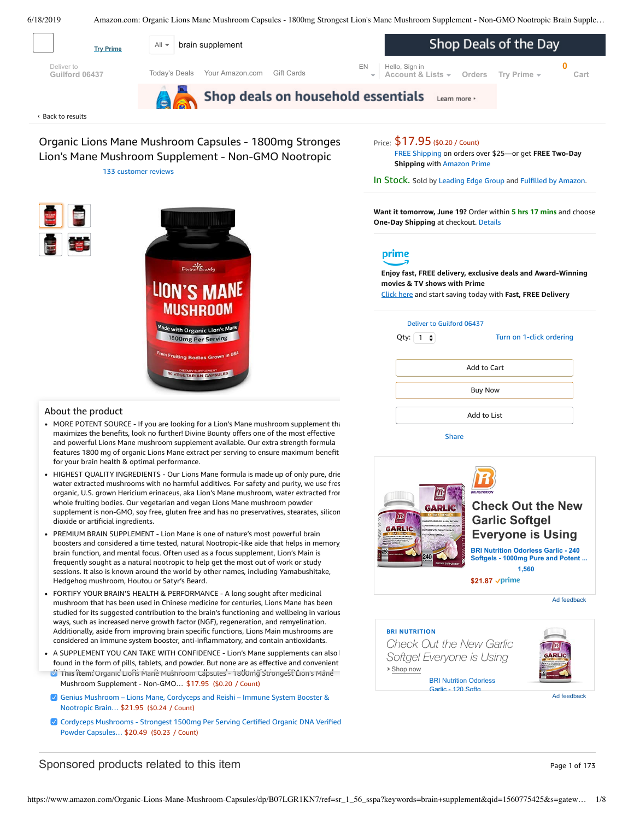<span id="page-0-0"></span>







Sponsored products related to this item Page 1 of 173

Nootropic Brain… \$21.95 (\$0.24 / Count)

Powder Capsules… \$20.49 (\$0.23 / Count)

Mushroom Supplement - Non-GMO… \$17.95 (\$0.20 / Count)

Genius [Mushroom](https://www.amazon.com/Genius-Mushroom-Cordyceps-Nootropic-Supplement/dp/B078SJ9F5S/ref=pd_bxgy_121_2/143-6729050-3493109?_encoding=UTF8&pd_rd_i=B078SJ9F5S&pd_rd_r=e2e3b6ef-91d0-11e9-8abf-658ec2368d21&pd_rd_w=DLxWL&pd_rd_wg=o2bGH&pf_rd_p=a2006322-0bc0-4db9-a08e-d168c18ce6f0&pf_rd_r=V5KW2NR4ZBWQR8NG2CRV&psc=1&refRID=V5KW2NR4ZBWQR8NG2CRV) – Lions Mane, Cordyceps and Reishi – Immune System Booster &

Cordyceps [Mushrooms](https://www.amazon.com/Cordyceps-Mushrooms-Strongest-Certified-Verified/dp/B079NBSY5W/ref=pd_bxgy_121_3/143-6729050-3493109?_encoding=UTF8&pd_rd_i=B079NBSY5W&pd_rd_r=e2e3b6ef-91d0-11e9-8abf-658ec2368d21&pd_rd_w=DLxWL&pd_rd_wg=o2bGH&pf_rd_p=a2006322-0bc0-4db9-a08e-d168c18ce6f0&pf_rd_r=V5KW2NR4ZBWQR8NG2CRV&psc=1&refRID=V5KW2NR4ZBWQR8NG2CRV) - Strongest 1500mg Per Serving Certified Organic DNA Verified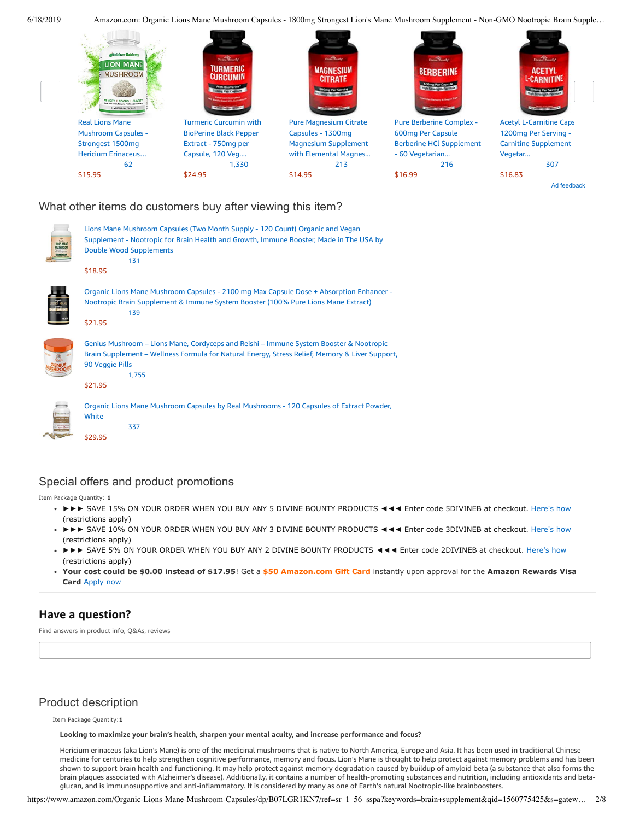6/18/2019 Amazon.com: Organic Lions Mane Mushroom Capsules - 1800mg Strongest Lion's Mane Mushroom Supplement - Non-GMO Nootropic Brain Supple…



# What other items do customers buy after viewing this item?

| Lions Mane Mushroom Capsules (Two Month Supply - 120 Count) Organic and Vegan<br>Supplement - Nootropic for Brain Health and Growth, Immune Booster, Made in The USA by<br><b>Double Wood Supplements</b><br>131<br>\$18.95     |
|---------------------------------------------------------------------------------------------------------------------------------------------------------------------------------------------------------------------------------|
| Organic Lions Mane Mushroom Capsules - 2100 mg Max Capsule Dose + Absorption Enhancer -<br>Nootropic Brain Supplement & Immune System Booster (100% Pure Lions Mane Extract)<br>139<br>\$21.95                                  |
| Genius Mushroom – Lions Mane, Cordyceps and Reishi – Immune System Booster & Nootropic<br>Brain Supplement - Wellness Formula for Natural Energy, Stress Relief, Memory & Liver Support,<br>90 Veggie Pills<br>1,755<br>\$21.95 |
| Organic Lions Mane Mushroom Capsules by Real Mushrooms - 120 Capsules of Extract Powder,<br>White<br>337<br>\$29.95                                                                                                             |

# Special offers and product promotions

Item Package Quantity: **1**

- ►►► SAVE 15% ON YOUR ORDER WHEN YOU BUY ANY 5 DIVINE BOUNTY PRODUCTS ◄◄◄ Enter code 5DIVINEB at checkout. [Here's how](javascript:void(0))  (restrictions apply)
- ►►► SAVE 10% ON YOUR ORDER WHEN YOU BUY ANY 3 DIVINE BOUNTY PRODUCTS ◄◄◄ Enter code 3DIVINEB at checkout. [Here's how](javascript:void(0))  (restrictions apply)
- ►►► SAVE 5% ON YOUR ORDER WHEN YOU BUY ANY 2 DIVINE BOUNTY PRODUCTS ◄◄◄ Enter code 2DIVINEB at checkout. [Here's how](javascript:void(0))  (restrictions apply)
- **[Your cost could be \\$0.00 instead of \\$17.95](https://www.amazon.com/gp/cobrandcard/marketing.html?pr=con321&inc=50gcUnrec&ts=79ft97jq07elxg8r33pufcw326ejaqx&dasin=B07LGR1KN7&plattr=math&place=detailpage&imp=a41f5841-de08-42ec-ad4f-e2ddb15ab3e2)**! Get a **\$50 Amazon.com Gift Card** instantly upon approval for the **Amazon Rewards Visa Card** Apply now

# **Have a question?**

Find answers in product info, Q&As, reviews

# Product description

Item Package Quantity:**1**

**Looking to maximize your brain's health, sharpen your mental acuity, and increase performance and focus?**

Hericium erinaceus (aka Lion's Mane) is one of the medicinal mushrooms that is native to North America, Europe and Asia. It has been used in traditional Chinese medicine for centuries to help strengthen cognitive performance, memory and focus. Lion's Mane is thought to help protect against memory problems and has been shown to support brain health and functioning. It may help protect against memory degradation caused by buildup of amyloid beta (a substance that also forms the brain plaques associated with Alzheimer's disease). Additionally, it contains a number of health-promoting substances and nutrition, including antioxidants and betaglucan, and is immunosupportive and anti-inflammatory. It is considered by many as one of Earth's natural Nootropic-like brainboosters.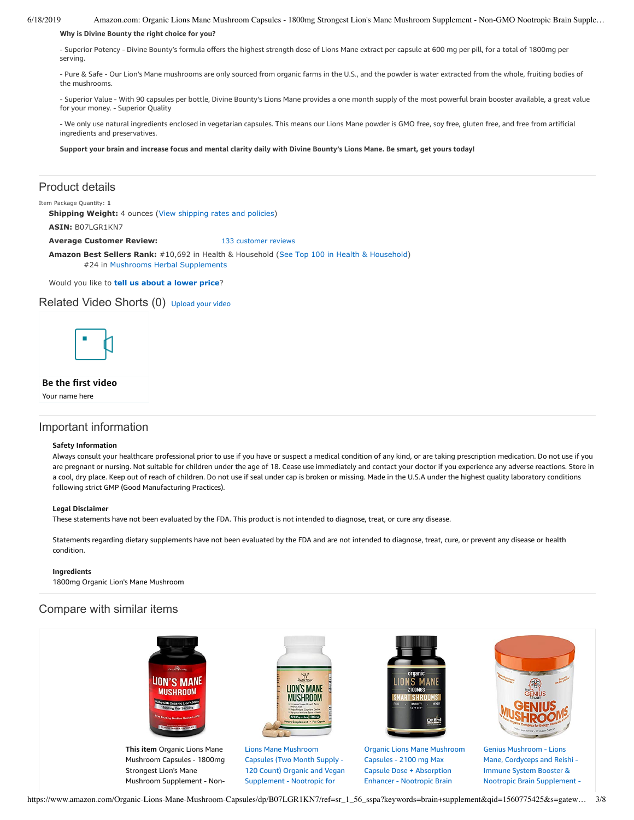6/18/2019 Amazon.com: Organic Lions Mane Mushroom Capsules - 1800mg Strongest Lion's Mane Mushroom Supplement - Non-GMO Nootropic Brain Supple…

## **Why is Divine Bounty the right choice for you?**

- Superior Potency - Divine Bounty's formula offers the highest strength dose of Lions Mane extract per capsule at 600 mg per pill, for a total of 1800mg per serving.

- Pure & Safe - Our Lion's Mane mushrooms are only sourced from organic farms in the U.S., and the powder is water extracted from the whole, fruiting bodies of the mushrooms.

- Superior Value - With 90 capsules per bottle, Divine Bounty's Lions Mane provides a one month supply of the most powerful brain booster available, a great value for your money. - Superior Quality

- We only use natural ingredients enclosed in vegetarian capsules. This means our Lions Mane powder is GMO free, soy free, gluten free, and free from artificial ingredients and preservatives.

Support your brain and increase focus and mental clarity daily with Divine Bounty's Lions Mane. Be smart, get yours today!

# Product details

### Item Package Quantity: **1**

**Shipping Weight:** 4 ounces [\(View shipping rates and policies\)](https://www.amazon.com/gp/help/seller/shipping.html/ref=dp_pd_shipping?ie=UTF8&asin=B07LGR1KN7&seller=ATVPDKIKX0DER)

**ASIN:** B07LGR1KN7

**Average Customer Review:** [133 customer reviews](https://www.amazon.com/product-reviews/B07LGR1KN7/ref=acr_dpproductdetail_text?ie=UTF8&showViewpoints=1)

**Amazon Best Sellers Rank:** #10,692 in Health & Household ([See Top 100 in Health & Household\)](https://www.amazon.com/gp/bestsellers/hpc/ref=pd_zg_ts_hpc) #24 in [Mushrooms Herbal Supplements](https://www.amazon.com/gp/bestsellers/hpc/3766351/ref=pd_zg_hrsr_hpc)

Would you like to **tell us about a lower price**?

## Related Video Shorts (0) [Upload](https://www.amazon.com/creatorhub/video/upload?productASIN=B07LGR1KN7&referringURL=ZHAvQjA3TEdSMUtONw%3D%3D&ref=RVSW) your video



## **Be the first video**

Your name here

# Important information

#### **Safety Information**

Always consult your healthcare professional prior to use if you have or suspect a medical condition of any kind, or are taking prescription medication. Do not use if you are pregnant or nursing. Not suitable for children under the age of 18. Cease use immediately and contact your doctor if you experience any adverse reactions. Store in a cool, dry place. Keep out of reach of children. Do not use if seal under cap is broken or missing. Made in the U.S.A under the highest quality laboratory conditions following strict GMP (Good Manufacturing Practices).

## **Legal Disclaimer**

These statements have not been evaluated by the FDA. This product is not intended to diagnose, treat, or cure any disease.

Statements regarding dietary supplements have not been evaluated by the FDA and are not intended to diagnose, treat, cure, or prevent any disease or health condition.

#### **Ingredients**

1800mg Organic Lion's Mane Mushroom

# Compare with similar items

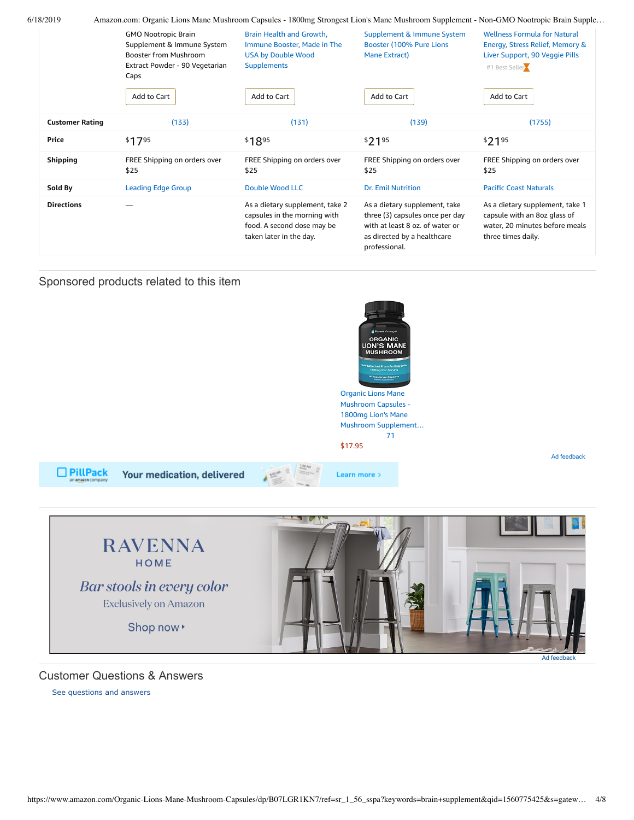| 6/18/2019              | Amazon.com: Organic Lions Mane Mushroom Capsules - 1800mg Strongest Lion's Mane Mushroom Supplement - Non-GMO Nootropic Brain Supple |                                                                                                                          |                                                                                                                                                     |                                                                                                                            |
|------------------------|--------------------------------------------------------------------------------------------------------------------------------------|--------------------------------------------------------------------------------------------------------------------------|-----------------------------------------------------------------------------------------------------------------------------------------------------|----------------------------------------------------------------------------------------------------------------------------|
|                        | <b>GMO Nootropic Brain</b><br>Supplement & Immune System<br><b>Booster from Mushroom</b><br>Extract Powder - 90 Vegetarian<br>Caps   | Brain Health and Growth,<br>Immune Booster, Made in The<br><b>USA by Double Wood</b><br><b>Supplements</b>               | Supplement & Immune System<br>Booster (100% Pure Lions<br>Mane Extract)                                                                             | <b>Wellness Formula for Natural</b><br>Energy, Stress Relief, Memory &<br>Liver Support, 90 Veggie Pills<br>#1 Best Seller |
|                        | Add to Cart                                                                                                                          | Add to Cart                                                                                                              | Add to Cart                                                                                                                                         | Add to Cart                                                                                                                |
| <b>Customer Rating</b> | (133)                                                                                                                                | (131)                                                                                                                    | (139)                                                                                                                                               | (1755)                                                                                                                     |
| <b>Price</b>           | \$1795                                                                                                                               | \$1895                                                                                                                   | \$2195                                                                                                                                              | \$2195                                                                                                                     |
| <b>Shipping</b>        | FREE Shipping on orders over<br>\$25                                                                                                 | FREE Shipping on orders over<br>\$25                                                                                     | FREE Shipping on orders over<br>\$25                                                                                                                | FREE Shipping on orders over<br>\$25                                                                                       |
| Sold By                | <b>Leading Edge Group</b>                                                                                                            | <b>Double Wood LLC</b>                                                                                                   | <b>Dr. Emil Nutrition</b>                                                                                                                           | <b>Pacific Coast Naturals</b>                                                                                              |
| <b>Directions</b>      |                                                                                                                                      | As a dietary supplement, take 2<br>capsules in the morning with<br>food. A second dose may be<br>taken later in the day. | As a dietary supplement, take<br>three (3) capsules once per day<br>with at least 8 oz. of water or<br>as directed by a healthcare<br>professional. | As a dietary supplement, take 1<br>capsule with an 8oz glass of<br>water, 20 minutes before meals<br>three times daily.    |

# Sponsored products related to this item

Your medication, delivered



Mushroom Capsules - 1800mg Lion's Mane Mushroom [Supplement…](https://www.amazon.com/gp/slredirect/picassoRedirect.html/ref=sspa_dk_detail_0?ie=UTF8&adId=A06112582EMX8ZT865C11&qualifier=1560866195&id=1687598192818878&widgetName=sp_detail2&url=%2Fdp%2FB07RCX8LPF%2Fref%3Dsspa_dk_detail_0%3Fpsc%3D1) [71](https://www.amazon.com/gp/slredirect/picassoRedirect.html/ref=sspa_dk_detail_0?ie=UTF8&adId=A06112582EMX8ZT865C11&qualifier=1560866195&id=1687598192818878&widgetName=sp_detail2&url=%2Fdp%2FB07RCX8LPF%2Fref%3Dsspa_dk_detail_0%3Fpsc%3D1#customerReviews) \$17.95

Learn more >

Ad feedback



# Customer Questions & Answers

[See questions and answers](https://www.amazon.com/ask/questions/asin/B07LGR1KN7/ref=cm_cd_dp_lla_ql_ll)

□ PillPack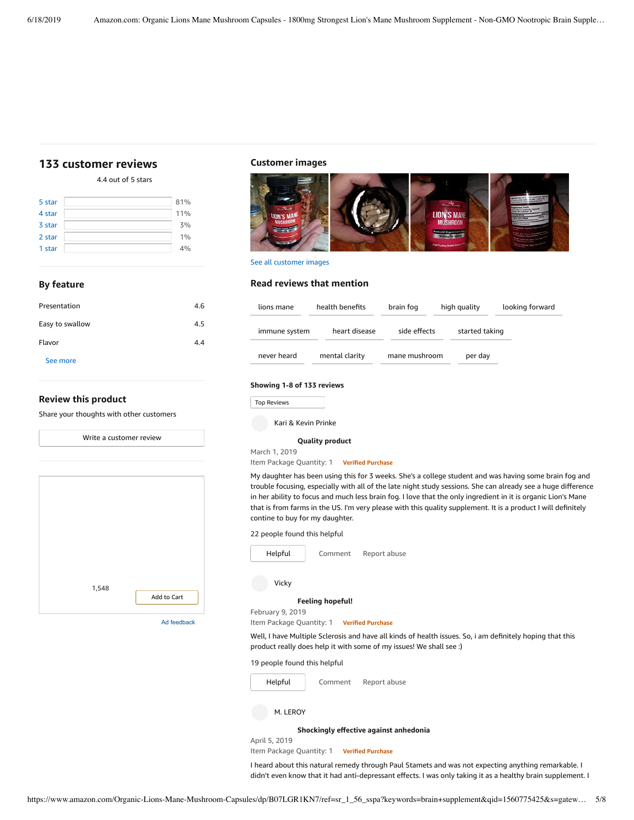# <span id="page-4-0"></span>**[133 customer](https://www.amazon.com/Organic-Lions-Mane-Mushroom-Capsules/product-reviews/B07LGR1KN7/ref=cm_cr_dp_d_show_all_top?ie=UTF8&reviewerType=all_reviews) reviews**

4.4 out of 5 [stars](javascript:void(0))

| 5 star | 81% |
|--------|-----|
| 4 star | 11% |
| 3 star | 3%  |
| 2 star | 1%  |
| 1 star | 4%  |

## **By feature**

| Presentation    | 4.6 |
|-----------------|-----|
| Easy to swallow | 4.5 |
| Flavor          | 4.4 |
| See more        |     |
|                 |     |

## **Review this product**

Share your thoughts with other customers



## **Customer images**



See all customer images

## **Read reviews that mention**

| lions mane    | health benefits | brain fog     | high quality   | looking forward |
|---------------|-----------------|---------------|----------------|-----------------|
| immune system | heart disease   | side effects  | started taking |                 |
| never heard   | mental clarity  | mane mushroom | per day        |                 |

## **Showing 1-8 of 133 reviews**

|  |  | <b>Top Reviews</b> |  |
|--|--|--------------------|--|
|--|--|--------------------|--|

Kari & Kevin Prinke

#### **Quality [product](https://www.amazon.com/gp/customer-reviews/R36GIAMLRXSU2U/ref=cm_cr_dp_d_rvw_ttl?ie=UTF8&ASIN=B07LGR1KN7)**

March 1, 2019

Item Package Quantity: 1 **Verified Purchase**

My daughter has been using this for 3 weeks. She's a college student and was having some brain fog and trouble focusing, especially with all of the late night study sessions. She can already see a huge difference in her ability to focus and much less brain fog. I love that the only ingredient in it is organic Lion's Mane that is from farms in the US. I'm very please with this quality supplement. It is a product I will definitely contine to buy for my daughter.

### 22 people found this helpful



February 9, 2019

Item Package Quantity: 1 **Verified Purchase**

Well, I have Multiple Sclerosis and have all kinds of health issues. So, i am definitely hoping that this product really does help it with some of my issues! We shall see :)

19 people found this helpful



# M. LEROY

**[Shockingly](https://www.amazon.com/gp/customer-reviews/R39HSFFF6HR5VX/ref=cm_cr_dp_d_rvw_ttl?ie=UTF8&ASIN=B07LGR1KN7) effective against anhedonia**

April 5, 2019

Item Package Quantity: 1 **Verified Purchase**

I heard about this natural remedy through Paul Stamets and was not expecting anything remarkable. I didn't even know that it had anti-depressant effects. I was only taking it as a healthy brain supplement. I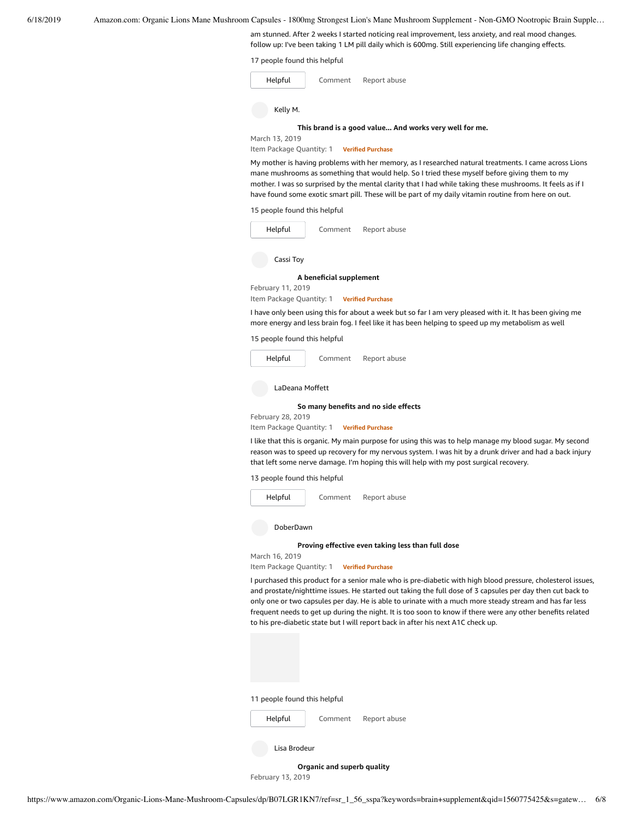am stunned. After 2 weeks I started noticing real improvement, less anxiety, and real mood changes. follow up: I've been taking 1 LM pill daily which is 600mg. Still experiencing life changing effects.

17 people found this helpful

| Helpful        | Comment | Report abuse                                           |
|----------------|---------|--------------------------------------------------------|
| Kelly M.       |         |                                                        |
|                |         | This brand is a good value And works very well for me. |
| March 13, 2019 |         |                                                        |

Item Package Quantity: 1 **Verified Purchase**

My mother is having problems with her memory, as I researched natural treatments. I came across Lions mane mushrooms as something that would help. So I tried these myself before giving them to my mother. I was so surprised by the mental clarity that I had while taking these mushrooms. It feels as if I have found some exotic smart pill. These will be part of my daily vitamin routine from here on out.

15 people found this helpful

| Helpful   | Comment | Report abuse |  |  |
|-----------|---------|--------------|--|--|
| Cassi Toy |         |              |  |  |
| .         |         |              |  |  |

#### **A beneficial [supplement](https://www.amazon.com/gp/customer-reviews/R19ZYZ6W2RYX87/ref=cm_cr_dp_d_rvw_ttl?ie=UTF8&ASIN=B07LGR1KN7)**

February 11, 2019 Item Package Quantity: 1 **Verified Purchase**

I have only been using this for about a week but so far I am very pleased with it. It has been giving me more energy and less brain fog. I feel like it has been helping to speed up my metabolism as well

#### 15 people found this helpful



## LaDeana Moffett

#### **[So many](https://www.amazon.com/gp/customer-reviews/R2AGUY1XDAVH74/ref=cm_cr_dp_d_rvw_ttl?ie=UTF8&ASIN=B07LGR1KN7) benefits and no side effects**

February 28, 2019

Item Package Quantity: 1 **Verified Purchase**

I like that this is organic. My main purpose for using this was to help manage my blood sugar. My second reason was to speed up recovery for my nervous system. I was hit by a drunk driver and had a back injury that left some nerve damage. I'm hoping this will help with my post surgical recovery.

13 people found this helpful



DoberDawn

March 16, 2019

#### **Proving [effective](https://www.amazon.com/gp/customer-reviews/R1UPBI6WFI25OQ/ref=cm_cr_dp_d_rvw_ttl?ie=UTF8&ASIN=B07LGR1KN7) even taking less than full dose**

Item Package Quantity: 1 **Verified Purchase**

I purchased this product for a senior male who is pre-diabetic with high blood pressure, cholesterol issues, and prostate/nighttime issues. He started out taking the full dose of 3 capsules per day then cut back to only one or two capsules per day. He is able to urinate with a much more steady stream and has far less frequent needs to get up during the night. It is too soon to know if there were any other benefits related to his pre-diabetic state but I will report back in after his next A1C check up.

11 people found this helpful

[Comment](https://www.amazon.com/gp/customer-reviews/R1UPBI6WFI25OQ/ref=cm_cr_dp_d_rvw_btm?ie=UTF8&ASIN=B07LGR1KN7#wasThisHelpful) [Report](https://www.amazon.com/hz/reviews-render/report-abuse?ie=UTF8&voteDomain=Reviews&ref=cm_cr_dp_d_rvw_hlp&csrfT=gvaKlXIE3jULEe6NFEb8zYqVvQv6TSoUSO38XKwAAAABAAAAAF0I7ZNyYXcAAAAA%2B4kUEk%2F7iMGR3xPcX6iU&entityId=R1UPBI6WFI25OQ&sessionId=143-6729050-3493109) abuse

| Lisa Brodeur |
|--------------|

[Helpful](https://www.amazon.com/ap/signin?openid.return_to=https%3A%2F%2Fwww.amazon.com%2Fdp%2FB07LGR1KN7%2Fref%3Dcm_cr_dp_d_vote_lft%3Fie%3DUTF8%26voteInstanceId%3DR1UPBI6WFI25OQ%26voteValue%3D1%26csrfT%3DgvaKlXIE3jULEe6NFEb8zYqVvQv6TSoUSO38XKwAAAABAAAAAF0I7ZNyYXcAAAAA%252B4kUEk%252F7iMGR3xPcX6iU%23R1UPBI6WFI25OQ&openid.identity=http%3A%2F%2Fspecs.openid.net%2Fauth%2F2.0%2Fidentifier_select&openid.claimed_id=http%3A%2F%2Fspecs.openid.net%2Fauth%2F2.0%2Fidentifier_select&openid.assoc_handle=usflex&openid.mode=checkid_setup&openid.ns=http%3A%2F%2Fspecs.openid.net%2Fauth%2F2.0)

**[Organic](https://www.amazon.com/gp/customer-reviews/R2G9SR1DEW7XR5/ref=cm_cr_dp_d_rvw_ttl?ie=UTF8&ASIN=B07LGR1KN7) and superb quality**

February 13, 2019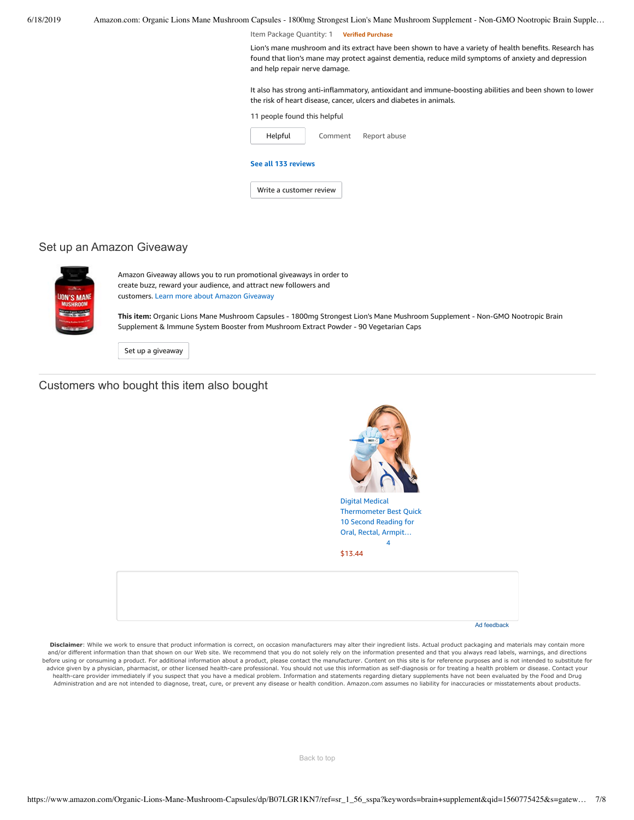6/18/2019 Amazon.com: Organic Lions Mane Mushroom Capsules - 1800mg Strongest Lion's Mane Mushroom Supplement - Non-GMO Nootropic Brain Supple… Item Package Quantity: 1 **Verified Purchase** 11 people found this helpful [Comment](https://www.amazon.com/gp/customer-reviews/R2G9SR1DEW7XR5/ref=cm_cr_dp_d_rvw_btm?ie=UTF8&ASIN=B07LGR1KN7#wasThisHelpful) [Report](https://www.amazon.com/hz/reviews-render/report-abuse?ie=UTF8&voteDomain=Reviews&ref=cm_cr_dp_d_rvw_hlp&csrfT=gs4ZFmOaL4fR5o%2BOcqkZGTqbrSRb5XwtJ16FlTMAAAABAAAAAF0I7ZNyYXcAAAAA%2B4kUEk%2F7iMGR3xPcX6iU&entityId=R2G9SR1DEW7XR5&sessionId=143-6729050-3493109) abuse Lion's mane mushroom and its extract have been shown to have a variety of health benefits. Research has found that lion's mane may protect against dementia, reduce mild symptoms of anxiety and depression and help repair nerve damage. It also has strong anti-inflammatory, antioxidant and immune-boosting abilities and been shown to lower the risk of heart disease, cancer, ulcers and diabetes in animals. [Helpful](https://www.amazon.com/ap/signin?openid.return_to=https%3A%2F%2Fwww.amazon.com%2Fdp%2FB07LGR1KN7%2Fref%3Dcm_cr_dp_d_vote_lft%3Fie%3DUTF8%26voteInstanceId%3DR2G9SR1DEW7XR5%26voteValue%3D1%26csrfT%3Dgs4ZFmOaL4fR5o%252BOcqkZGTqbrSRb5XwtJ16FlTMAAAABAAAAAF0I7ZNyYXcAAAAA%252B4kUEk%252F7iMGR3xPcX6iU%23R2G9SR1DEW7XR5&openid.identity=http%3A%2F%2Fspecs.openid.net%2Fauth%2F2.0%2Fidentifier_select&openid.claimed_id=http%3A%2F%2Fspecs.openid.net%2Fauth%2F2.0%2Fidentifier_select&openid.assoc_handle=usflex&openid.mode=checkid_setup&openid.ns=http%3A%2F%2Fspecs.openid.net%2Fauth%2F2.0) **See all 133 [reviews](https://www.amazon.com/Organic-Lions-Mane-Mushroom-Capsules/product-reviews/B07LGR1KN7/ref=cm_cr_dp_d_show_all_btm?ie=UTF8&reviewerType=all_reviews)** Write a [customer](https://www.amazon.com/review/create-review/ref=cm_cr_dp_d_wr_but_btm?ie=UTF8&channel=glance-detail&asin=B07LGR1KN7) review

# Set up an Amazon Giveaway



Amazon Giveaway allows you to run promotional giveaways in order to create buzz, reward your audience, and attract new followers and customers. Learn more about Amazon [Giveaway](https://www.amazon.com/gp/giveaway/home?ref=aga_dp_lm)

**This item:** Organic Lions Mane Mushroom Capsules - 1800mg Strongest Lion's Mane Mushroom Supplement - Non-GMO Nootropic Brain Supplement & Immune System Booster from Mushroom Extract Powder - 90 Vegetarian Caps

Set up a [giveaway](https://www.amazon.com/giveaway/host/setup/ref=aga_h_su_dp?_encoding=UTF8&asin=B07LGR1KN7)

# Customers who bought this item also bought



Disclaimer: While we work to ensure that product information is correct, on occasion manufacturers may alter their ingredient lists. Actual product packaging and materials may contain more and/or different information than that shown on our Web site. We recommend that you do not solely rely on the information presented and that you always read labels, warnings, and directions before using or consuming a product. For additional information about a product, please contact the manufacturer. Content on this site is for reference purposes and is not intended to substitute for advice given by a physician, pharmacist, or other licensed health-care professional. You should not use this information as self-diagnosis or for treating a health problem or disease. Contact your health-care provider immediately if you suspect that you have a medical problem. Information and statements regarding dietary supplements have not been evaluated by the Food and Drug Administration and are not intended to diagnose, treat, cure, or prevent any disease or health condition. Amazon.com assumes no liability for inaccuracies or misstatements about products.

[Back to top](#page-0-0)